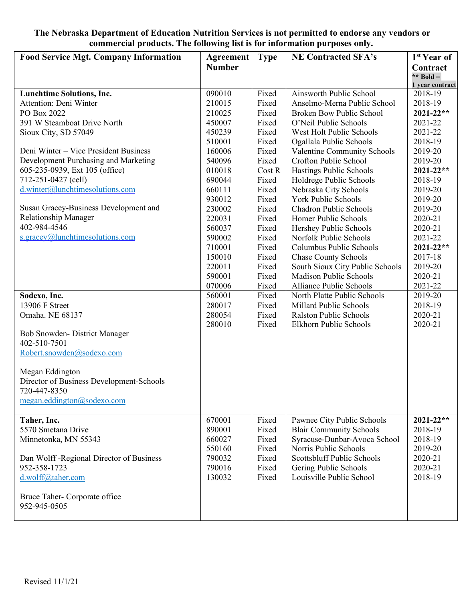## **The Nebraska Department of Education Nutrition Services is not permitted to endorse any vendors or commercial products. The following list is for information purposes only.**

| <b>Food Service Mgt. Company Information</b> | <b>Agreement</b> | <b>Type</b> | <b>NE Contracted SFA's</b>      | 1 <sup>st</sup> Year of    |
|----------------------------------------------|------------------|-------------|---------------------------------|----------------------------|
|                                              | <b>Number</b>    |             |                                 | Contract                   |
|                                              |                  |             |                                 | ** Bold =                  |
| <b>Lunchtime Solutions, Inc.</b>             | 090010           | Fixed       | Ainsworth Public School         | 1 year contract<br>2018-19 |
| Attention: Deni Winter                       | 210015           | Fixed       | Anselmo-Merna Public School     | 2018-19                    |
| PO Box 2022                                  | 210025           | Fixed       | <b>Broken Bow Public School</b> | $2021 - 22**$              |
| 391 W Steamboat Drive North                  | 450007           | Fixed       | O'Neil Public Schools           | 2021-22                    |
| Sioux City, SD 57049                         | 450239           | Fixed       | West Holt Public Schools        | 2021-22                    |
|                                              | 510001           | Fixed       | Ogallala Public Schools         | 2018-19                    |
| Deni Winter – Vice President Business        | 160006           | Fixed       | Valentine Community Schools     | 2019-20                    |
| Development Purchasing and Marketing         | 540096           | Fixed       | Crofton Public School           | 2019-20                    |
| 605-235-0939, Ext 105 (office)               | 010018           | Cost R      | Hastings Public Schools         | $2021 - 22**$              |
| 712-251-0427 (cell)                          | 690044           | Fixed       | Holdrege Public Schools         | 2018-19                    |
| d.winter@lunchtimesolutions.com              | 660111           | Fixed       | Nebraska City Schools           | 2019-20                    |
|                                              | 930012           | Fixed       | York Public Schools             | 2019-20                    |
| Susan Gracey-Business Development and        | 230002           | Fixed       | <b>Chadron Public Schools</b>   | 2019-20                    |
| <b>Relationship Manager</b>                  | 220031           | Fixed       | Homer Public Schools            | 2020-21                    |
| 402-984-4546                                 | 560037           | Fixed       | Hershey Public Schools          | 2020-21                    |
| s.gracey@lunchtimesolutions.com              | 590002           | Fixed       | Norfolk Public Schools          | 2021-22                    |
|                                              | 710001           | Fixed       | Columbus Public Schools         | $2021 - 22**$              |
|                                              | 150010           | Fixed       | <b>Chase County Schools</b>     | 2017-18                    |
|                                              | 220011           | Fixed       | South Sioux City Public Schools | 2019-20                    |
|                                              | 590001           | Fixed       | <b>Madison Public Schools</b>   | 2020-21                    |
|                                              | 070006           | Fixed       | Alliance Public Schools         | 2021-22                    |
| Sodexo, Inc.                                 | 560001           | Fixed       | North Platte Public Schools     | 2019-20                    |
| 13906 F Street                               | 280017           | Fixed       | Millard Public Schools          | 2018-19                    |
| Omaha. NE 68137                              | 280054           | Fixed       | <b>Ralston Public Schools</b>   | 2020-21                    |
|                                              | 280010           | Fixed       | Elkhorn Public Schools          | 2020-21                    |
| Bob Snowden- District Manager                |                  |             |                                 |                            |
| 402-510-7501                                 |                  |             |                                 |                            |
| Robert.snowden@sodexo.com                    |                  |             |                                 |                            |
|                                              |                  |             |                                 |                            |
| Megan Eddington                              |                  |             |                                 |                            |
| Director of Business Development-Schools     |                  |             |                                 |                            |
| 720-447-8350                                 |                  |             |                                 |                            |
| megan.eddington@sodexo.com                   |                  |             |                                 |                            |
|                                              |                  |             |                                 |                            |
| Taher, Inc.                                  | 670001           | Fixed       | Pawnee City Public Schools      | 2021-22**                  |
| 5570 Smetana Drive                           | 890001           | Fixed       | <b>Blair Community Schools</b>  | 2018-19                    |
| Minnetonka, MN 55343                         | 660027           | Fixed       | Syracuse-Dunbar-Avoca School    | 2018-19                    |
|                                              | 550160           | Fixed       | Norris Public Schools           | 2019-20                    |
| Dan Wolff - Regional Director of Business    | 790032           | Fixed       | Scottsbluff Public Schools      | 2020-21                    |
| 952-358-1723                                 | 790016           | Fixed       | Gering Public Schools           | 2020-21                    |
| d.wolff@taher.com                            | 130032           | Fixed       | Louisville Public School        | 2018-19                    |
|                                              |                  |             |                                 |                            |
| Bruce Taher- Corporate office                |                  |             |                                 |                            |
| 952-945-0505                                 |                  |             |                                 |                            |
|                                              |                  |             |                                 |                            |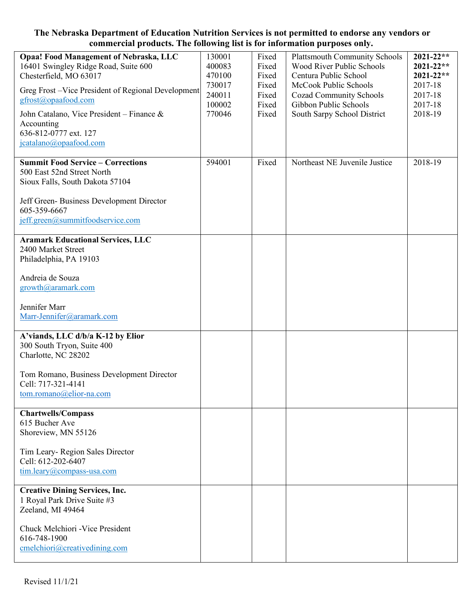## **The Nebraska Department of Education Nutrition Services is not permitted to endorse any vendors or commercial products. The following list is for information purposes only.**

| <b>Opaa! Food Management of Nebraska, LLC</b><br>16401 Swingley Ridge Road, Suite 600<br>Chesterfield, MO 63017<br>Greg Frost - Vice President of Regional Development<br>gfrost@opaafood.com<br>John Catalano, Vice President – Finance $\&$<br>Accounting<br>636-812-0777 ext. 127<br>jcatalano@opaafood.com | 130001<br>400083<br>470100<br>730017<br>240011<br>100002<br>770046 | Fixed<br>Fixed<br>Fixed<br>Fixed<br>Fixed<br>Fixed<br>Fixed | <b>Plattsmouth Community Schools</b><br><b>Wood River Public Schools</b><br>Centura Public School<br>McCook Public Schools<br><b>Cozad Community Schools</b><br>Gibbon Public Schools<br>South Sarpy School District | $2021 - 22**$<br>2021-22**<br>$2021 - 22**$<br>2017-18<br>2017-18<br>2017-18<br>2018-19 |
|----------------------------------------------------------------------------------------------------------------------------------------------------------------------------------------------------------------------------------------------------------------------------------------------------------------|--------------------------------------------------------------------|-------------------------------------------------------------|----------------------------------------------------------------------------------------------------------------------------------------------------------------------------------------------------------------------|-----------------------------------------------------------------------------------------|
| <b>Summit Food Service - Corrections</b><br>500 East 52nd Street North<br>Sioux Falls, South Dakota 57104<br>Jeff Green-Business Development Director<br>605-359-6667<br>jeff.green@summitfoodservice.com                                                                                                      | 594001                                                             | Fixed                                                       | Northeast NE Juvenile Justice                                                                                                                                                                                        | 2018-19                                                                                 |
| <b>Aramark Educational Services, LLC</b><br>2400 Market Street<br>Philadelphia, PA 19103<br>Andreia de Souza<br>growth@aramark.com                                                                                                                                                                             |                                                                    |                                                             |                                                                                                                                                                                                                      |                                                                                         |
| Jennifer Marr<br>Marr-Jennifer@aramark.com                                                                                                                                                                                                                                                                     |                                                                    |                                                             |                                                                                                                                                                                                                      |                                                                                         |
| A'viands, LLC d/b/a K-12 by Elior<br>300 South Tryon, Suite 400<br>Charlotte, NC 28202                                                                                                                                                                                                                         |                                                                    |                                                             |                                                                                                                                                                                                                      |                                                                                         |
| Tom Romano, Business Development Director<br>Cell: 717-321-4141<br>tom.romano@elior-na.com                                                                                                                                                                                                                     |                                                                    |                                                             |                                                                                                                                                                                                                      |                                                                                         |
| <b>Chartwells/Compass</b><br>615 Bucher Ave<br>Shoreview, MN 55126                                                                                                                                                                                                                                             |                                                                    |                                                             |                                                                                                                                                                                                                      |                                                                                         |
| Tim Leary-Region Sales Director<br>Cell: 612-202-6407<br>$tim.leary@compass-usa.com$                                                                                                                                                                                                                           |                                                                    |                                                             |                                                                                                                                                                                                                      |                                                                                         |
| <b>Creative Dining Services, Inc.</b><br>1 Royal Park Drive Suite #3<br>Zeeland, MI 49464                                                                                                                                                                                                                      |                                                                    |                                                             |                                                                                                                                                                                                                      |                                                                                         |
| Chuck Melchiori - Vice President<br>616-748-1900<br>cmelchiori@creativedining.com                                                                                                                                                                                                                              |                                                                    |                                                             |                                                                                                                                                                                                                      |                                                                                         |